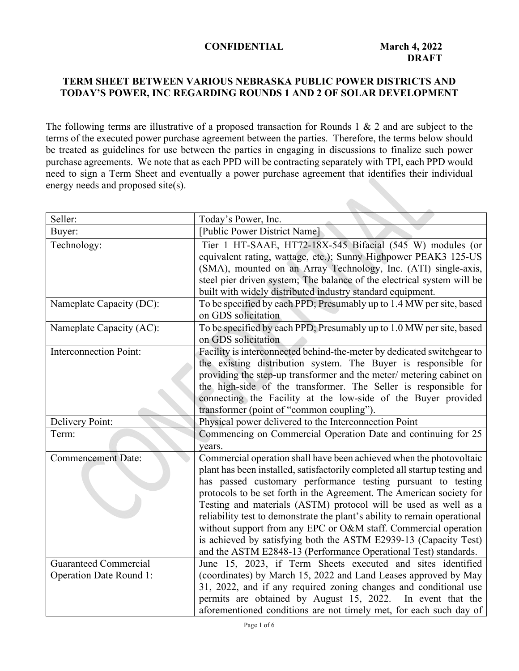### **CONFIDENTIAL March 4, 2022**

# **TERM SHEET BETWEEN VARIOUS NEBRASKA PUBLIC POWER DISTRICTS AND TODAY'S POWER, INC REGARDING ROUNDS 1 AND 2 OF SOLAR DEVELOPMENT**

The following terms are illustrative of a proposed transaction for Rounds 1 & 2 and are subject to the terms of the executed power purchase agreement between the parties. Therefore, the terms below should be treated as guidelines for use between the parties in engaging in discussions to finalize such power purchase agreements. We note that as each PPD will be contracting separately with TPI, each PPD would need to sign a Term Sheet and eventually a power purchase agreement that identifies their individual energy needs and proposed site(s).

| Seller:                        | Today's Power, Inc.                                                                                                                                                                                                                                                                                                                                                                                                                                                                                                                                                                                                                                 |  |  |
|--------------------------------|-----------------------------------------------------------------------------------------------------------------------------------------------------------------------------------------------------------------------------------------------------------------------------------------------------------------------------------------------------------------------------------------------------------------------------------------------------------------------------------------------------------------------------------------------------------------------------------------------------------------------------------------------------|--|--|
| Buyer:                         | [Public Power District Name]                                                                                                                                                                                                                                                                                                                                                                                                                                                                                                                                                                                                                        |  |  |
| Technology:                    | Tier 1 HT-SAAE, HT72-18X-545 Bifacial (545 W) modules (or<br>equivalent rating, wattage, etc.); Sunny Highpower PEAK3 125-US<br>(SMA), mounted on an Array Technology, Inc. (ATI) single-axis,<br>steel pier driven system; The balance of the electrical system will be<br>built with widely distributed industry standard equipment.                                                                                                                                                                                                                                                                                                              |  |  |
| Nameplate Capacity (DC):       | To be specified by each PPD; Presumably up to 1.4 MW per site, based<br>on GDS solicitation                                                                                                                                                                                                                                                                                                                                                                                                                                                                                                                                                         |  |  |
| Nameplate Capacity (AC):       | To be specified by each PPD; Presumably up to 1.0 MW per site, based<br>on GDS solicitation                                                                                                                                                                                                                                                                                                                                                                                                                                                                                                                                                         |  |  |
| <b>Interconnection Point:</b>  | Facility is interconnected behind-the-meter by dedicated switchgear to<br>the existing distribution system. The Buyer is responsible for<br>providing the step-up transformer and the meter/ metering cabinet on<br>the high-side of the transformer. The Seller is responsible for<br>connecting the Facility at the low-side of the Buyer provided<br>transformer (point of "common coupling").                                                                                                                                                                                                                                                   |  |  |
| Delivery Point:                | Physical power delivered to the Interconnection Point                                                                                                                                                                                                                                                                                                                                                                                                                                                                                                                                                                                               |  |  |
| Term:                          | Commencing on Commercial Operation Date and continuing for 25<br>years.                                                                                                                                                                                                                                                                                                                                                                                                                                                                                                                                                                             |  |  |
| <b>Commencement Date:</b>      | Commercial operation shall have been achieved when the photovoltaic<br>plant has been installed, satisfactorily completed all startup testing and<br>has passed customary performance testing pursuant to testing<br>protocols to be set forth in the Agreement. The American society for<br>Testing and materials (ASTM) protocol will be used as well as a<br>reliability test to demonstrate the plant's ability to remain operational<br>without support from any EPC or O&M staff. Commercial operation<br>is achieved by satisfying both the ASTM E2939-13 (Capacity Test)<br>and the ASTM E2848-13 (Performance Operational Test) standards. |  |  |
| <b>Guaranteed Commercial</b>   | June 15, 2023, if Term Sheets executed and sites identified                                                                                                                                                                                                                                                                                                                                                                                                                                                                                                                                                                                         |  |  |
| <b>Operation Date Round 1:</b> | (coordinates) by March 15, 2022 and Land Leases approved by May<br>31, 2022, and if any required zoning changes and conditional use<br>permits are obtained by August 15, 2022. In event that the<br>aforementioned conditions are not timely met, for each such day of                                                                                                                                                                                                                                                                                                                                                                             |  |  |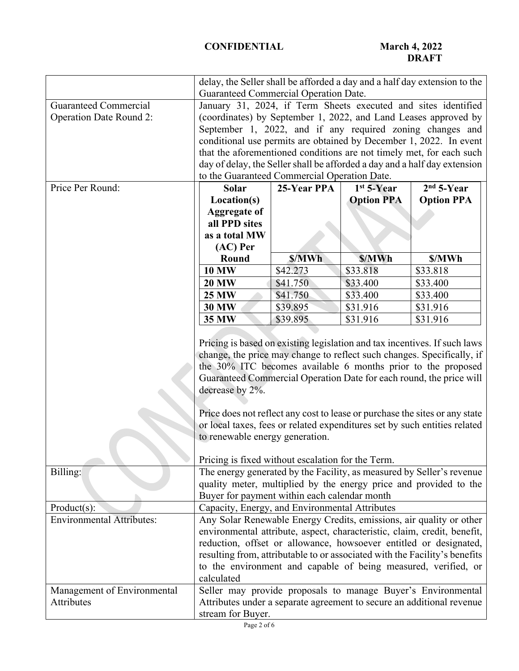|                                  | delay, the Seller shall be afforded a day and a half day extension to the                                                                                                                                                                                                                                                                                                          |          |          |                                                                             |
|----------------------------------|------------------------------------------------------------------------------------------------------------------------------------------------------------------------------------------------------------------------------------------------------------------------------------------------------------------------------------------------------------------------------------|----------|----------|-----------------------------------------------------------------------------|
|                                  | Guaranteed Commercial Operation Date.                                                                                                                                                                                                                                                                                                                                              |          |          |                                                                             |
| <b>Guaranteed Commercial</b>     | January 31, 2024, if Term Sheets executed and sites identified                                                                                                                                                                                                                                                                                                                     |          |          |                                                                             |
| <b>Operation Date Round 2:</b>   |                                                                                                                                                                                                                                                                                                                                                                                    |          |          | (coordinates) by September 1, 2022, and Land Leases approved by             |
|                                  | September 1, 2022, and if any required zoning changes and                                                                                                                                                                                                                                                                                                                          |          |          |                                                                             |
|                                  | conditional use permits are obtained by December 1, 2022. In event                                                                                                                                                                                                                                                                                                                 |          |          |                                                                             |
|                                  |                                                                                                                                                                                                                                                                                                                                                                                    |          |          | that the aforementioned conditions are not timely met, for each such        |
|                                  |                                                                                                                                                                                                                                                                                                                                                                                    |          |          | day of delay, the Seller shall be afforded a day and a half day extension   |
|                                  | to the Guaranteed Commercial Operation Date.                                                                                                                                                                                                                                                                                                                                       |          |          |                                                                             |
| Price Per Round:                 | 25-Year PPA<br>Solar<br>$1st$ 5-Year                                                                                                                                                                                                                                                                                                                                               |          |          | $2nd 5-Year$                                                                |
|                                  | <b>Option PPA</b><br>Location(s)                                                                                                                                                                                                                                                                                                                                                   |          |          | <b>Option PPA</b>                                                           |
|                                  | <b>Aggregate of</b>                                                                                                                                                                                                                                                                                                                                                                |          |          |                                                                             |
|                                  | all PPD sites                                                                                                                                                                                                                                                                                                                                                                      |          |          |                                                                             |
|                                  | as a total MW                                                                                                                                                                                                                                                                                                                                                                      |          |          |                                                                             |
|                                  | $(AC)$ Per                                                                                                                                                                                                                                                                                                                                                                         |          |          |                                                                             |
|                                  | <b>Round</b>                                                                                                                                                                                                                                                                                                                                                                       | \$/MWh   | \$/MWh   | \$/MWh                                                                      |
|                                  | <b>10 MW</b>                                                                                                                                                                                                                                                                                                                                                                       | \$42.273 | \$33.818 | \$33.818                                                                    |
|                                  | <b>20 MW</b>                                                                                                                                                                                                                                                                                                                                                                       | \$41.750 | \$33.400 | \$33.400                                                                    |
|                                  | <b>25 MW</b>                                                                                                                                                                                                                                                                                                                                                                       | \$41.750 | \$33.400 | \$33.400                                                                    |
|                                  | <b>30 MW</b>                                                                                                                                                                                                                                                                                                                                                                       | \$39.895 | \$31.916 | \$31.916                                                                    |
|                                  |                                                                                                                                                                                                                                                                                                                                                                                    |          |          |                                                                             |
|                                  | 35 MW<br>\$39.895<br>\$31.916<br>\$31.916                                                                                                                                                                                                                                                                                                                                          |          |          |                                                                             |
|                                  | Pricing is based on existing legislation and tax incentives. If such laws<br>change, the price may change to reflect such changes. Specifically, if<br>the 30% ITC becomes available 6 months prior to the proposed<br>Guaranteed Commercial Operation Date for each round, the price will<br>decrease by 2%.                                                                      |          |          |                                                                             |
|                                  |                                                                                                                                                                                                                                                                                                                                                                                    |          |          | Price does not reflect any cost to lease or purchase the sites or any state |
|                                  |                                                                                                                                                                                                                                                                                                                                                                                    |          |          | or local taxes, fees or related expenditures set by such entities related   |
|                                  | to renewable energy generation.                                                                                                                                                                                                                                                                                                                                                    |          |          |                                                                             |
|                                  |                                                                                                                                                                                                                                                                                                                                                                                    |          |          |                                                                             |
|                                  | Pricing is fixed without escalation for the Term.                                                                                                                                                                                                                                                                                                                                  |          |          |                                                                             |
| Billing:                         |                                                                                                                                                                                                                                                                                                                                                                                    |          |          | The energy generated by the Facility, as measured by Seller's revenue       |
|                                  | quality meter, multiplied by the energy price and provided to the                                                                                                                                                                                                                                                                                                                  |          |          |                                                                             |
|                                  | Buyer for payment within each calendar month                                                                                                                                                                                                                                                                                                                                       |          |          |                                                                             |
| $Product(s)$ :                   | Capacity, Energy, and Environmental Attributes                                                                                                                                                                                                                                                                                                                                     |          |          |                                                                             |
| <b>Environmental Attributes:</b> | Any Solar Renewable Energy Credits, emissions, air quality or other<br>environmental attribute, aspect, characteristic, claim, credit, benefit,<br>reduction, offset or allowance, howsoever entitled or designated,<br>resulting from, attributable to or associated with the Facility's benefits<br>to the environment and capable of being measured, verified, or<br>calculated |          |          |                                                                             |
| Management of Environmental      |                                                                                                                                                                                                                                                                                                                                                                                    |          |          | Seller may provide proposals to manage Buyer's Environmental                |
| Attributes                       | Attributes under a separate agreement to secure an additional revenue                                                                                                                                                                                                                                                                                                              |          |          |                                                                             |
|                                  | stream for Buyer.                                                                                                                                                                                                                                                                                                                                                                  |          |          |                                                                             |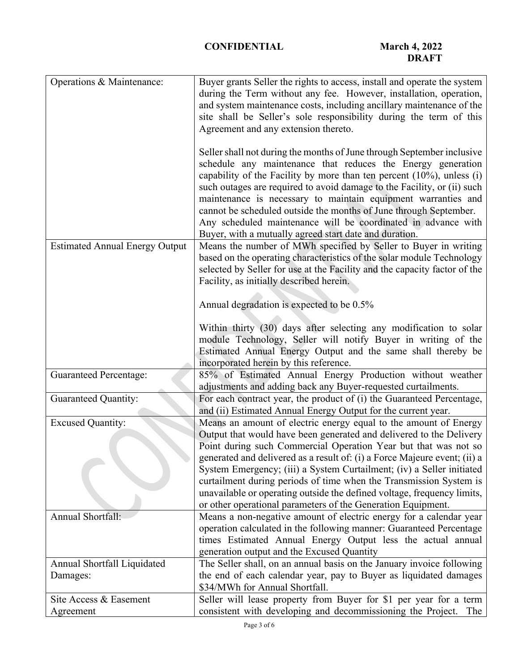| Operations & Maintenance:               | Buyer grants Seller the rights to access, install and operate the system<br>during the Term without any fee. However, installation, operation,<br>and system maintenance costs, including ancillary maintenance of the<br>site shall be Seller's sole responsibility during the term of this<br>Agreement and any extension thereto.<br>Seller shall not during the months of June through September inclusive<br>schedule any maintenance that reduces the Energy generation<br>capability of the Facility by more than ten percent $(10\%)$ , unless $(i)$<br>such outages are required to avoid damage to the Facility, or (ii) such<br>maintenance is necessary to maintain equipment warranties and<br>cannot be scheduled outside the months of June through September. |
|-----------------------------------------|-------------------------------------------------------------------------------------------------------------------------------------------------------------------------------------------------------------------------------------------------------------------------------------------------------------------------------------------------------------------------------------------------------------------------------------------------------------------------------------------------------------------------------------------------------------------------------------------------------------------------------------------------------------------------------------------------------------------------------------------------------------------------------|
|                                         | Any scheduled maintenance will be coordinated in advance with<br>Buyer, with a mutually agreed start date and duration.                                                                                                                                                                                                                                                                                                                                                                                                                                                                                                                                                                                                                                                       |
| <b>Estimated Annual Energy Output</b>   | Means the number of MWh specified by Seller to Buyer in writing<br>based on the operating characteristics of the solar module Technology<br>selected by Seller for use at the Facility and the capacity factor of the<br>Facility, as initially described herein.                                                                                                                                                                                                                                                                                                                                                                                                                                                                                                             |
|                                         | Annual degradation is expected to be 0.5%                                                                                                                                                                                                                                                                                                                                                                                                                                                                                                                                                                                                                                                                                                                                     |
|                                         | Within thirty (30) days after selecting any modification to solar<br>module Technology, Seller will notify Buyer in writing of the<br>Estimated Annual Energy Output and the same shall thereby be<br>incorporated herein by this reference.                                                                                                                                                                                                                                                                                                                                                                                                                                                                                                                                  |
| <b>Guaranteed Percentage:</b>           | 85% of Estimated Annual Energy Production without weather<br>adjustments and adding back any Buyer-requested curtailments.                                                                                                                                                                                                                                                                                                                                                                                                                                                                                                                                                                                                                                                    |
| <b>Guaranteed Quantity:</b>             | For each contract year, the product of (i) the Guaranteed Percentage,<br>and (ii) Estimated Annual Energy Output for the current year.                                                                                                                                                                                                                                                                                                                                                                                                                                                                                                                                                                                                                                        |
| <b>Excused Quantity:</b>                | Means an amount of electric energy equal to the amount of Energy<br>Output that would have been generated and delivered to the Delivery<br>Point during such Commercial Operation Year but that was not so<br>generated and delivered as a result of: (i) a Force Majeure event; (ii) a<br>System Emergency; (iii) a System Curtailment; (iv) a Seller initiated<br>curtailment during periods of time when the Transmission System is<br>unavailable or operating outside the defined voltage, frequency limits,<br>or other operational parameters of the Generation Equipment.                                                                                                                                                                                             |
| Annual Shortfall:                       | Means a non-negative amount of electric energy for a calendar year<br>operation calculated in the following manner: Guaranteed Percentage<br>times Estimated Annual Energy Output less the actual annual<br>generation output and the Excused Quantity                                                                                                                                                                                                                                                                                                                                                                                                                                                                                                                        |
| Annual Shortfall Liquidated<br>Damages: | The Seller shall, on an annual basis on the January invoice following<br>the end of each calendar year, pay to Buyer as liquidated damages<br>\$34/MWh for Annual Shortfall.                                                                                                                                                                                                                                                                                                                                                                                                                                                                                                                                                                                                  |
| Site Access & Easement<br>Agreement     | Seller will lease property from Buyer for \$1 per year for a term<br>consistent with developing and decommissioning the Project.<br>The                                                                                                                                                                                                                                                                                                                                                                                                                                                                                                                                                                                                                                       |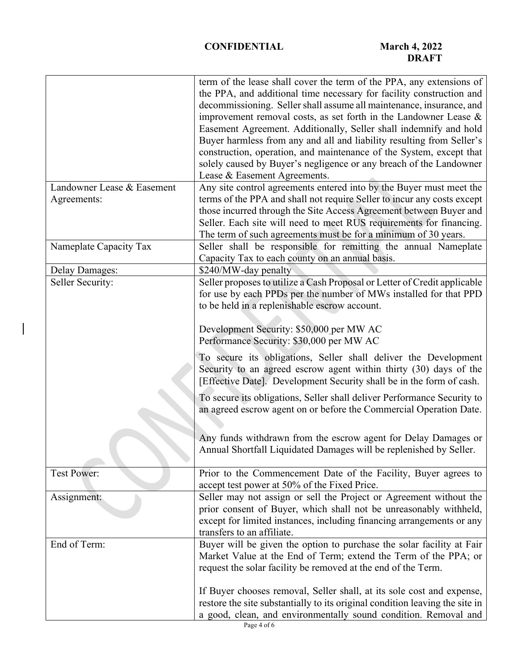|                            | term of the lease shall cover the term of the PPA, any extensions of         |
|----------------------------|------------------------------------------------------------------------------|
|                            | the PPA, and additional time necessary for facility construction and         |
|                            | decommissioning. Seller shall assume all maintenance, insurance, and         |
|                            | improvement removal costs, as set forth in the Landowner Lease $\&$          |
|                            | Easement Agreement. Additionally, Seller shall indemnify and hold            |
|                            | Buyer harmless from any and all and liability resulting from Seller's        |
|                            | construction, operation, and maintenance of the System, except that          |
|                            | solely caused by Buyer's negligence or any breach of the Landowner           |
|                            | Lease & Easement Agreements.                                                 |
| Landowner Lease & Easement | Any site control agreements entered into by the Buyer must meet the          |
| Agreements:                | terms of the PPA and shall not require Seller to incur any costs except      |
|                            | those incurred through the Site Access Agreement between Buyer and           |
|                            | Seller. Each site will need to meet RUS requirements for financing.          |
|                            | The term of such agreements must be for a minimum of 30 years.               |
| Nameplate Capacity Tax     | Seller shall be responsible for remitting the annual Nameplate               |
|                            | Capacity Tax to each county on an annual basis.                              |
| <b>Delay Damages:</b>      | \$240/MW-day penalty                                                         |
| Seller Security:           | Seller proposes to utilize a Cash Proposal or Letter of Credit applicable    |
|                            | for use by each PPDs per the number of MWs installed for that PPD            |
|                            | to be held in a replenishable escrow account.                                |
|                            |                                                                              |
|                            | Development Security: \$50,000 per MW AC                                     |
|                            | Performance Security: \$30,000 per MW AC                                     |
|                            | To secure its obligations, Seller shall deliver the Development              |
|                            | Security to an agreed escrow agent within thirty (30) days of the            |
|                            | [Effective Date]. Development Security shall be in the form of cash.         |
|                            |                                                                              |
|                            | To secure its obligations, Seller shall deliver Performance Security to      |
|                            | an agreed escrow agent on or before the Commercial Operation Date.           |
|                            |                                                                              |
|                            | Any funds withdrawn from the escrow agent for Delay Damages or               |
|                            | Annual Shortfall Liquidated Damages will be replenished by Seller.           |
|                            |                                                                              |
| <b>Test Power:</b>         | Prior to the Commencement Date of the Facility, Buyer agrees to              |
|                            | accept test power at 50% of the Fixed Price.                                 |
| Assignment:                | Seller may not assign or sell the Project or Agreement without the           |
|                            | prior consent of Buyer, which shall not be unreasonably withheld,            |
|                            | except for limited instances, including financing arrangements or any        |
|                            | transfers to an affiliate.                                                   |
| End of Term:               | Buyer will be given the option to purchase the solar facility at Fair        |
|                            | Market Value at the End of Term; extend the Term of the PPA; or              |
|                            | request the solar facility be removed at the end of the Term.                |
|                            |                                                                              |
|                            | If Buyer chooses removal, Seller shall, at its sole cost and expense,        |
|                            | restore the site substantially to its original condition leaving the site in |
|                            | a good, clean, and environmentally sound condition. Removal and              |

 $\overline{\phantom{a}}$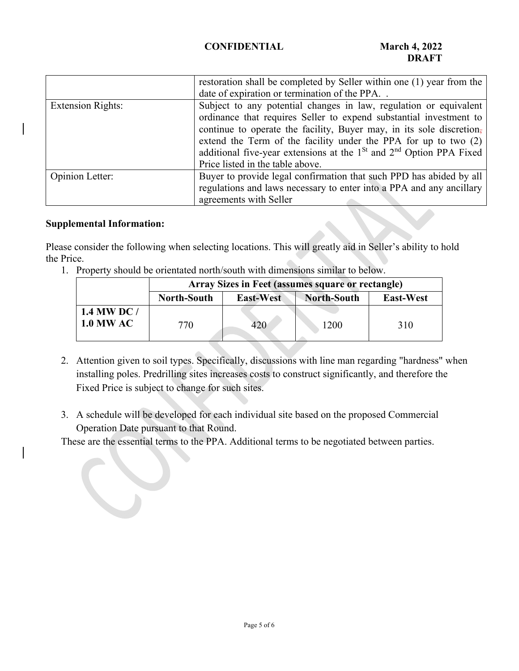# **CONFIDENTIAL March 4, 2022**

|                          | restoration shall be completed by Seller within one (1) year from the   |  |
|--------------------------|-------------------------------------------------------------------------|--|
|                          | date of expiration or termination of the PPA                            |  |
| <b>Extension Rights:</b> | Subject to any potential changes in law, regulation or equivalent       |  |
|                          | ordinance that requires Seller to expend substantial investment to      |  |
|                          | continue to operate the facility, Buyer may, in its sole discretion,    |  |
|                          | extend the Term of the facility under the PPA for up to two (2)         |  |
|                          | additional five-year extensions at the $1St$ and $2nd$ Option PPA Fixed |  |
|                          | Price listed in the table above.                                        |  |
| Opinion Letter:          | Buyer to provide legal confirmation that such PPD has abided by all     |  |
|                          | regulations and laws necessary to enter into a PPA and any ancillary    |  |
|                          | agreements with Seller                                                  |  |

# **Supplemental Information:**

Please consider the following when selecting locations. This will greatly aid in Seller's ability to hold the Price.

1. Property should be orientated north/south with dimensions similar to below.

|                                 | Array Sizes in Feet (assumes square or rectangle) |                  |                    |                  |
|---------------------------------|---------------------------------------------------|------------------|--------------------|------------------|
|                                 | <b>North-South</b>                                | <b>East-West</b> | <b>North-South</b> | <b>East-West</b> |
| 1.4 MW DC /<br><b>1.0 MW AC</b> | 770                                               | 420              | 1200               | 310              |

- 2. Attention given to soil types. Specifically, discussions with line man regarding "hardness" when installing poles. Predrilling sites increases costs to construct significantly, and therefore the Fixed Price is subject to change for such sites.
- 3. A schedule will be developed for each individual site based on the proposed Commercial Operation Date pursuant to that Round.

These are the essential terms to the PPA. Additional terms to be negotiated between parties.